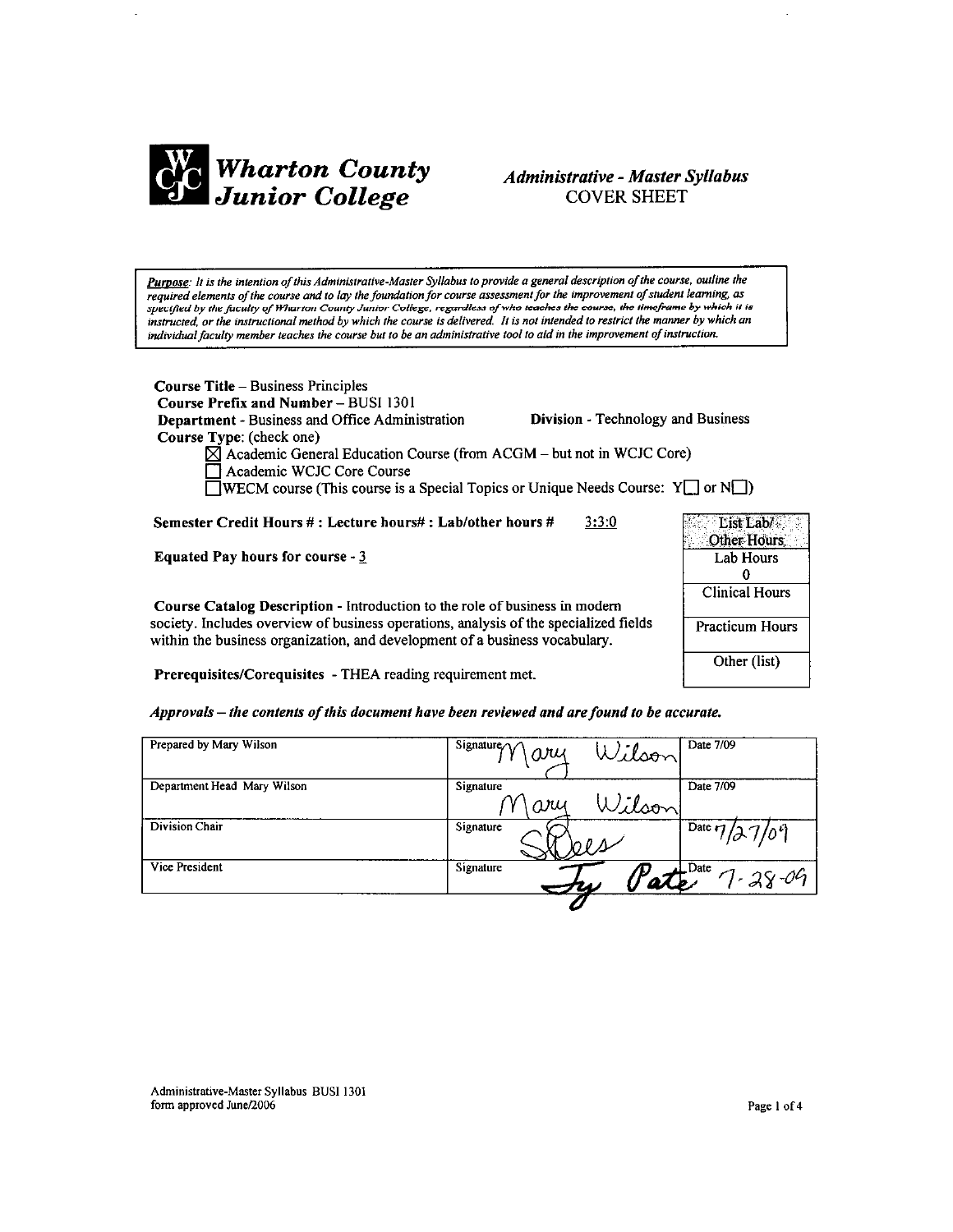

## **Administrative - Master Syllabus COVER SHEET**

Purpose: It is the intention of this Administrative-Master Syllabus to provide a general description of the course, outline the required elements of the course and to lay the foundation for course assessment for the improvement of student learning, as specified by the faculty of Wharton County Junior College, regardless of who teaches the course, the timeframe by which it is instructed, or the instructional method by which the course is delivered. It is not intended to restrict the manner by which an individual faculty member teaches the course but to be an administrative tool to aid in the improvement of instruction.

Course Title - Business Principles Course Prefix and Number - BUSI 1301 Department - Business and Office Administration Course Type: (check one)

Division - Technology and Business

 $\boxtimes$  Academic General Education Course (from ACGM – but not in WCJC Core) Academic WCJC Core Course

**NECM** course (This course is a Special Topics or Unique Needs Course:  $Y \cup Y$  or  $N \cup Y$ 

Semester Credit Hours #: Lecture hours#: Lab/other hours #  $3:3:0$ 

**Equated Pay hours for course -**  $3$ 

Course Catalog Description - Introduction to the role of business in modern society. Includes overview of business operations, analysis of the specialized fields within the business organization, and development of a business vocabulary.

| List Lab/<br>Other Hours |
|--------------------------|
| <b>Lab Hours</b>         |
| Λ                        |
| <b>Clinical Hours</b>    |
| <b>Practicum Hours</b>   |
| Other (list)             |

Prerequisites/Corequisites - THEA reading requirement met.

Approvals – the contents of this document have been reviewed and are found to be accurate.

| Prepared by Mary Wilson     | Signature $\land \land$<br>Wilson<br>ary | Date 7/09                  |
|-----------------------------|------------------------------------------|----------------------------|
| Department Head Mary Wilson | Signature<br>Wilson<br>ary               | Date 7/09                  |
| Division Chair              | Signature                                | Date $7/37/09$             |
| Vice President              | Signature<br>W                           | $\perp$ Date<br>1 - 28 -09 |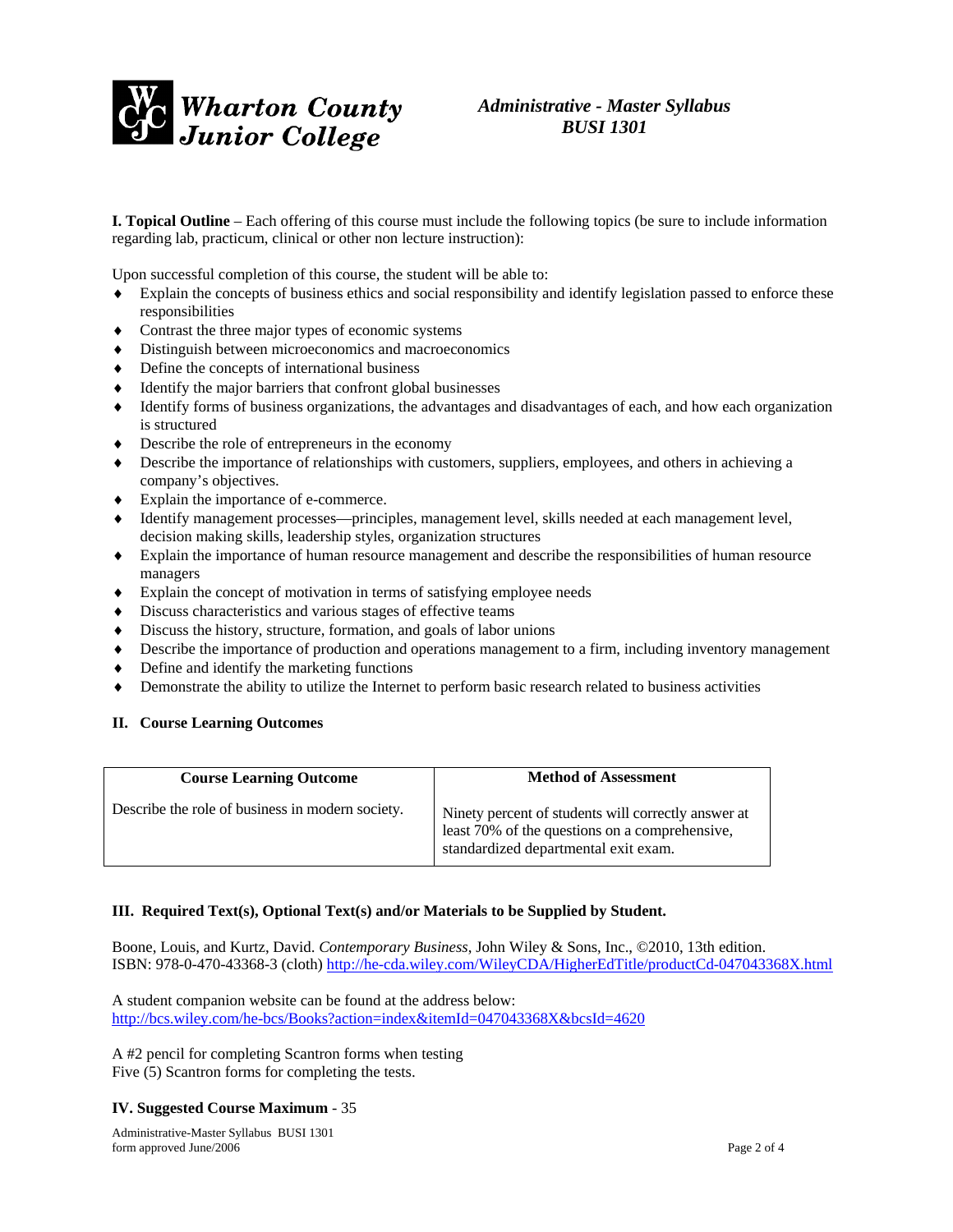

## *Administrative - Master Syllabus BUSI 1301*

**I. Topical Outline** – Each offering of this course must include the following topics (be sure to include information regarding lab, practicum, clinical or other non lecture instruction):

Upon successful completion of this course, the student will be able to:

- Explain the concepts of business ethics and social responsibility and identify legislation passed to enforce these responsibilities
- ♦ Contrast the three major types of economic systems
- ♦ Distinguish between microeconomics and macroeconomics
- ♦ Define the concepts of international business
- ♦ Identify the major barriers that confront global businesses
- Identify forms of business organizations, the advantages and disadvantages of each, and how each organization is structured
- ♦ Describe the role of entrepreneurs in the economy
- ♦ Describe the importance of relationships with customers, suppliers, employees, and others in achieving a company's objectives.
- ♦ Explain the importance of e-commerce.
- ♦ Identify management processes—principles, management level, skills needed at each management level, decision making skills, leadership styles, organization structures
- ♦ Explain the importance of human resource management and describe the responsibilities of human resource managers
- ♦ Explain the concept of motivation in terms of satisfying employee needs
- ♦ Discuss characteristics and various stages of effective teams
- ♦ Discuss the history, structure, formation, and goals of labor unions
- ♦ Describe the importance of production and operations management to a firm, including inventory management
- ♦ Define and identify the marketing functions
- ♦ Demonstrate the ability to utilize the Internet to perform basic research related to business activities

#### **II. Course Learning Outcomes**

| <b>Course Learning Outcome</b>                   | <b>Method of Assessment</b>                                                                                                                   |
|--------------------------------------------------|-----------------------------------------------------------------------------------------------------------------------------------------------|
| Describe the role of business in modern society. | Ninety percent of students will correctly answer at<br>least 70% of the questions on a comprehensive,<br>standardized departmental exit exam. |

#### **III. Required Text(s), Optional Text(s) and/or Materials to be Supplied by Student.**

Boone, Louis, and Kurtz, David. *Contemporary Business*, John Wiley & Sons, Inc., ©2010, 13th edition. ISBN: 978-0-470-43368-3 (cloth)<http://he-cda.wiley.com/WileyCDA/HigherEdTitle/productCd-047043368X.html>

A student companion website can be found at the address below: <http://bcs.wiley.com/he-bcs/Books?action=index&itemId=047043368X&bcsId=4620>

A #2 pencil for completing Scantron forms when testing Five (5) Scantron forms for completing the tests.

#### **IV. Suggested Course Maximum** - 35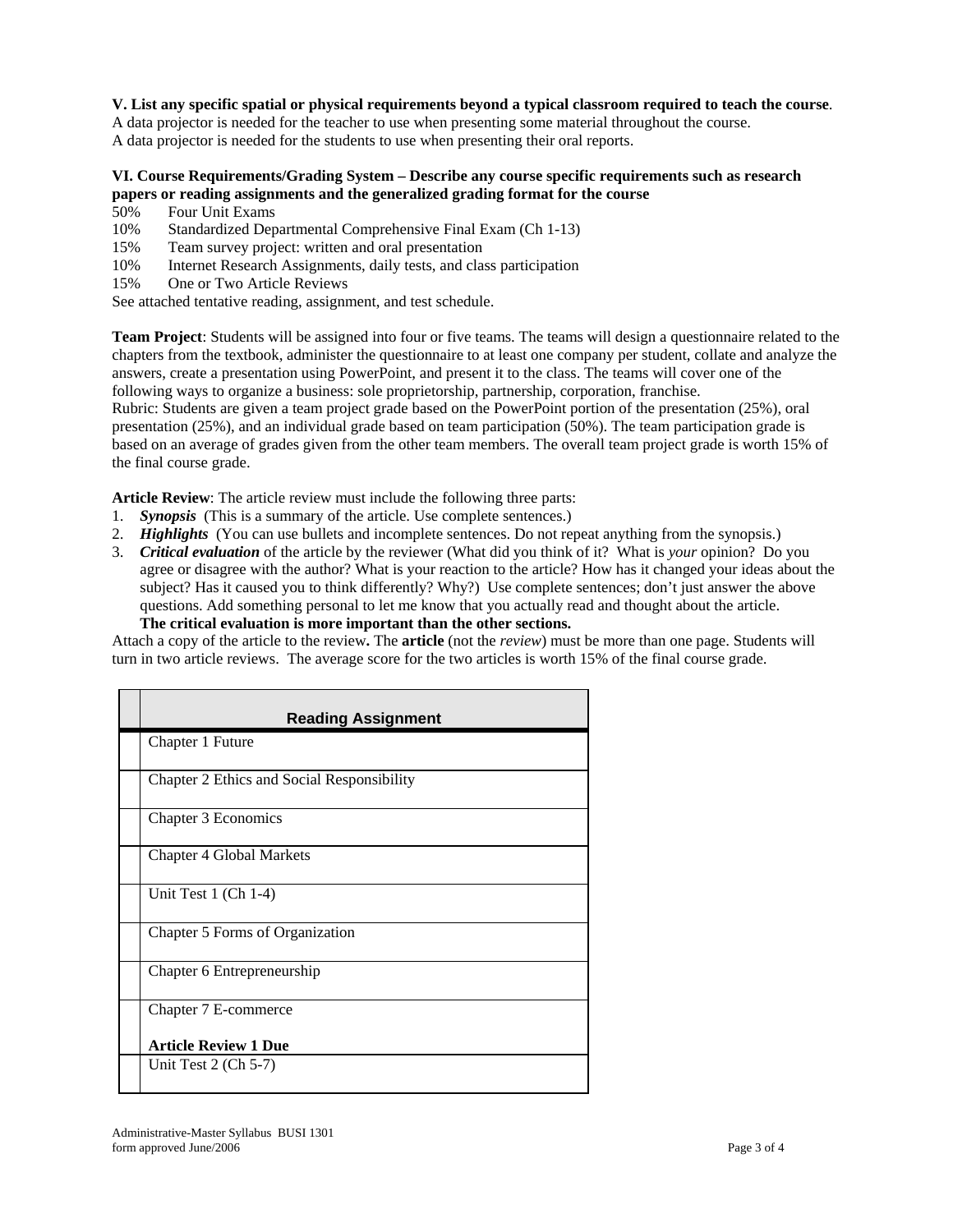#### **V. List any specific spatial or physical requirements beyond a typical classroom required to teach the course**.

A data projector is needed for the teacher to use when presenting some material throughout the course. A data projector is needed for the students to use when presenting their oral reports.

### **VI. Course Requirements/Grading System – Describe any course specific requirements such as research papers or reading assignments and the generalized grading format for the course**

- 50% Four Unit Exams
- 10% Standardized Departmental Comprehensive Final Exam (Ch 1-13)
- 15% Team survey project: written and oral presentation
- 10% Internet Research Assignments, daily tests, and class participation
- 15% One or Two Article Reviews

See attached tentative reading, assignment, and test schedule.

**Team Project**: Students will be assigned into four or five teams. The teams will design a questionnaire related to the chapters from the textbook, administer the questionnaire to at least one company per student, collate and analyze the answers, create a presentation using PowerPoint, and present it to the class. The teams will cover one of the following ways to organize a business: sole proprietorship, partnership, corporation, franchise.

Rubric: Students are given a team project grade based on the PowerPoint portion of the presentation (25%), oral presentation (25%), and an individual grade based on team participation (50%). The team participation grade is based on an average of grades given from the other team members. The overall team project grade is worth 15% of the final course grade.

**Article Review**: The article review must include the following three parts:

- 1. *Synopsis* (This is a summary of the article. Use complete sentences.)
- 2. *Highlights* (You can use bullets and incomplete sentences. Do not repeat anything from the synopsis.)
- 3. *Critical evaluation* of the article by the reviewer (What did you think of it? What is *your* opinion? Do you agree or disagree with the author? What is your reaction to the article? How has it changed your ideas about the subject? Has it caused you to think differently? Why?) Use complete sentences; don't just answer the above questions. Add something personal to let me know that you actually read and thought about the article. **The critical evaluation is more important than the other sections.**

Attach a copy of the article to the review**.** The **article** (not the *review*) must be more than one page. Students will turn in two article reviews. The average score for the two articles is worth 15% of the final course grade.

| <b>Reading Assignment</b>                  |
|--------------------------------------------|
| Chapter 1 Future                           |
| Chapter 2 Ethics and Social Responsibility |
| Chapter 3 Economics                        |
| <b>Chapter 4 Global Markets</b>            |
| Unit Test 1 (Ch 1-4)                       |
| Chapter 5 Forms of Organization            |
| Chapter 6 Entrepreneurship                 |
| Chapter 7 E-commerce                       |
| <b>Article Review 1 Due</b>                |
| Unit Test $2$ (Ch 5-7)                     |